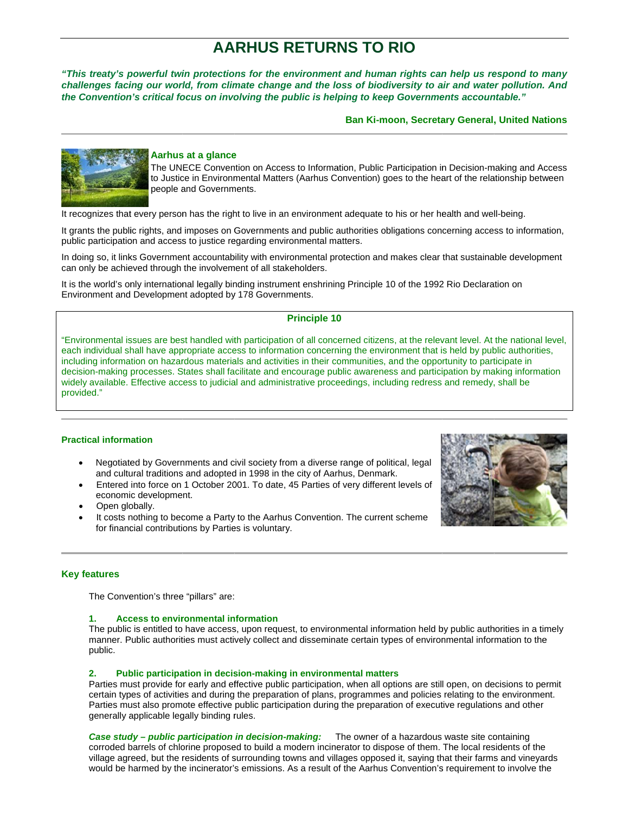# **AARHUS RETURNS TO RIO**

"This treaty's powerful twin protections for the environment and human rights can help us respond to many challenges facing our world, from climate change and the loss of biodiversity to air and water pollution. And the Convention's critical focus on involving the public is helping to keep Governments accountable."

**Ban Ki-moon, Secretary General, United Nations** 



### Aarhus at a glance

The UNECE Convention on Access to Information, Public Participation in Decision-making and Access to Justice in Environmental Matters (Aarhus Convention) goes to the heart of the relationship between people and Governments.

It recognizes that every person has the right to live in an environment adequate to his or her health and well-being.

It grants the public rights, and imposes on Governments and public authorities obligations concerning access to information, public participation and access to justice regarding environmental matters.

In doing so, it links Government accountability with environmental protection and makes clear that sustainable development can only be achieved through the involvement of all stakeholders.

It is the world's only international legally binding instrument enshrining Principle 10 of the 1992 Rio Declaration on Environment and Development adopted by 178 Governments.

# **Principle 10**

"Environmental issues are best handled with participation of all concerned citizens, at the relevant level. At the national level, each individual shall have appropriate access to information concerning the environment that is held by public authorities, including information on hazardous materials and activities in their communities, and the opportunity to participate in decision-making processes. States shall facilitate and encourage public awareness and participation by making information widely available. Effective access to judicial and administrative proceedings, including redress and remedy, shall be provided."

### **Practical information**

- Negotiated by Governments and civil society from a diverse range of political, legal and cultural traditions and adopted in 1998 in the city of Aarhus, Denmark.
- Entered into force on 1 October 2001. To date, 45 Parties of very different levels of economic development.
- Open globally.
- It costs nothing to become a Party to the Aarhus Convention. The current scheme for financial contributions by Parties is voluntary.



### **Key features**

The Convention's three "pillars" are:

#### 1. **Access to environmental information**

The public is entitled to have access, upon request, to environmental information held by public authorities in a timely manner. Public authorities must actively collect and disseminate certain types of environmental information to the public.

#### Public participation in decision-making in environmental matters  $2.$

Parties must provide for early and effective public participation, when all options are still open, on decisions to permit certain types of activities and during the preparation of plans, programmes and policies relating to the environment. Parties must also promote effective public participation during the preparation of executive regulations and other generally applicable legally binding rules.

**Case study – public participation in decision-making:** The owner of a hazardous waste site containing corroded barrels of chlorine proposed to build a modern incinerator to dispose of them. The local residents of the village agreed, but the residents of surrounding towns and villages opposed it, saying that their farms and vineyards would be harmed by the incinerator's emissions. As a result of the Aarhus Convention's requirement to involve the